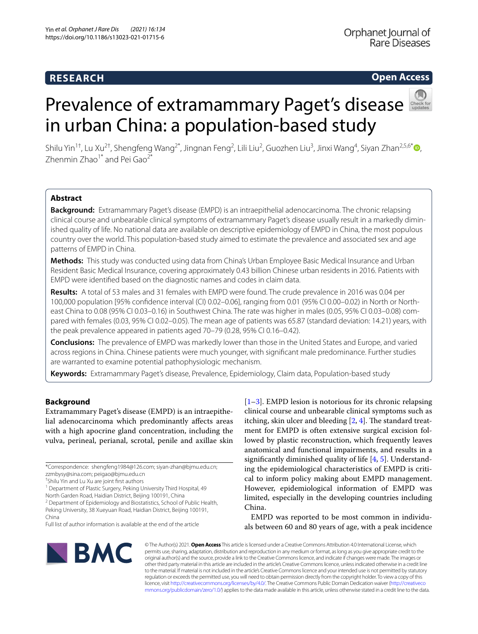## **RESEARCH**

Orphanet Journal of Rare Diseases

### **Open Access**

# Prevalence of extramammary Paget's disease in urban China: a population-based study

Shilu Yin<sup>1†</sup>, Lu Xu<sup>2†</sup>, Shengfeng Wang<sup>2[\\*](http://orcid.org/0000-0001-7252-5349)</sup>, Jingnan Feng<sup>2</sup>, Lili Liu<sup>2</sup>, Guozhen Liu<sup>3</sup>, Jinxi Wang<sup>4</sup>, Siyan Zhan<sup>2,5,6\*</sup> (**D**, Zhenmin  $Z$ hao<sup>1\*</sup> and Pei Gao<sup>2\*</sup>

#### **Abstract**

**Background:** Extramammary Paget's disease (EMPD) is an intraepithelial adenocarcinoma. The chronic relapsing clinical course and unbearable clinical symptoms of extramammary Paget's disease usually result in a markedly diminished quality of life. No national data are available on descriptive epidemiology of EMPD in China, the most populous country over the world. This population-based study aimed to estimate the prevalence and associated sex and age patterns of EMPD in China.

**Methods:** This study was conducted using data from China's Urban Employee Basic Medical Insurance and Urban Resident Basic Medical Insurance, covering approximately 0.43 billion Chinese urban residents in 2016. Patients with EMPD were identifed based on the diagnostic names and codes in claim data.

**Results:** A total of 53 males and 31 females with EMPD were found. The crude prevalence in 2016 was 0.04 per 100,000 population [95% confdence interval (CI) 0.02–0.06], ranging from 0.01 (95% CI 0.00–0.02) in North or Northeast China to 0.08 (95% CI 0.03–0.16) in Southwest China. The rate was higher in males (0.05, 95% CI 0.03–0.08) compared with females (0.03, 95% CI 0.02–0.05). The mean age of patients was 65.87 (standard deviation: 14.21) years, with the peak prevalence appeared in patients aged 70–79 (0.28, 95% CI 0.16–0.42).

**Conclusions:** The prevalence of EMPD was markedly lower than those in the United States and Europe, and varied across regions in China. Chinese patients were much younger, with signifcant male predominance. Further studies are warranted to examine potential pathophysiologic mechanism.

**Keywords:** Extramammary Paget's disease, Prevalence, Epidemiology, Claim data, Population-based study

#### **Background**

Extramammary Paget's disease (EMPD) is an intraepithelial adenocarcinoma which predominantly afects areas with a high apocrine gland concentration, including the vulva, perineal, perianal, scrotal, penile and axillae skin

\*Correspondence: shengfeng1984@126.com; siyan-zhan@bjmu.edu.cn; zzmbysy@sina.com; peigao@bjmu.edu.cn

<sup>1</sup> Department of Plastic Surgery, Peking University Third Hospital, 49 North Garden Road, Haidian District, Beijing 100191, China

<sup>2</sup> Department of Epidemiology and Biostatistics, School of Public Health,

Peking University, 38 Xueyuan Road, Haidian District, Beijing 100191, China

Full list of author information is available at the end of the article

[[1–](#page-6-0)[3\]](#page-6-1). EMPD lesion is notorious for its chronic relapsing clinical course and unbearable clinical symptoms such as itching, skin ulcer and bleeding  $[2, 4]$  $[2, 4]$  $[2, 4]$  $[2, 4]$ . The standard treatment for EMPD is often extensive surgical excision followed by plastic reconstruction, which frequently leaves anatomical and functional impairments, and results in a signifcantly diminished quality of life [\[4](#page-6-3), [5\]](#page-6-4). Understanding the epidemiological characteristics of EMPD is critical to inform policy making about EMPD management. However, epidemiological information of EMPD was limited, especially in the developing countries including China.

EMPD was reported to be most common in individuals between 60 and 80 years of age, with a peak incidence



© The Author(s) 2021. **Open Access** This article is licensed under a Creative Commons Attribution 4.0 International License, which permits use, sharing, adaptation, distribution and reproduction in any medium or format, as long as you give appropriate credit to the original author(s) and the source, provide a link to the Creative Commons licence, and indicate if changes were made. The images or other third party material in this article are included in the article's Creative Commons licence, unless indicated otherwise in a credit line to the material. If material is not included in the article's Creative Commons licence and your intended use is not permitted by statutory regulation or exceeds the permitted use, you will need to obtain permission directly from the copyright holder. To view a copy of this licence, visit [http://creativecommons.org/licenses/by/4.0/.](http://creativecommons.org/licenses/by/4.0/) The Creative Commons Public Domain Dedication waiver ([http://creativeco](http://creativecommons.org/publicdomain/zero/1.0/) [mmons.org/publicdomain/zero/1.0/](http://creativecommons.org/publicdomain/zero/1.0/)) applies to the data made available in this article, unless otherwise stated in a credit line to the data.

<sup>†</sup> Shilu Yin and Lu Xu are joint frst authors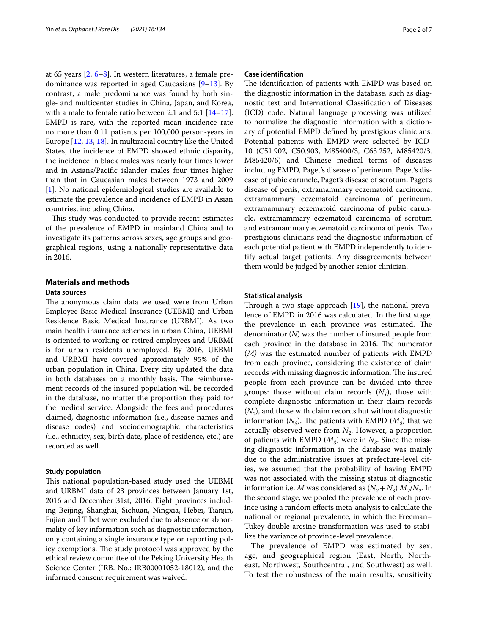at 65 years [[2](#page-6-2), [6–](#page-6-5)[8](#page-6-6)]. In western literatures, a female predominance was reported in aged Caucasians [[9](#page-6-7)[–13](#page-6-8)]. By contrast, a male predominance was found by both single- and multicenter studies in China, Japan, and Korea, with a male to female ratio between 2:1 and 5:1  $[14-17]$  $[14-17]$  $[14-17]$ . EMPD is rare, with the reported mean incidence rate no more than 0.11 patients per 100,000 person-years in Europe [[12](#page-6-11), [13,](#page-6-8) [18](#page-6-12)]. In multiracial country like the United States, the incidence of EMPD showed ethnic disparity, the incidence in black males was nearly four times lower and in Asians/Pacifc islander males four times higher than that in Caucasian males between 1973 and 2009 [[1\]](#page-6-0). No national epidemiological studies are available to estimate the prevalence and incidence of EMPD in Asian countries, including China.

This study was conducted to provide recent estimates of the prevalence of EMPD in mainland China and to investigate its patterns across sexes, age groups and geographical regions, using a nationally representative data in 2016.

#### **Materials and methods**

#### **Data sources**

The anonymous claim data we used were from Urban Employee Basic Medical Insurance (UEBMI) and Urban Residence Basic Medical Insurance (URBMI). As two main health insurance schemes in urban China, UEBMI is oriented to working or retired employees and URBMI is for urban residents unemployed. By 2016, UEBMI and URBMI have covered approximately 95% of the urban population in China. Every city updated the data in both databases on a monthly basis. The reimbursement records of the insured population will be recorded in the database, no matter the proportion they paid for the medical service. Alongside the fees and procedures claimed, diagnostic information (i.e., disease names and disease codes) and sociodemographic characteristics (i.e., ethnicity, sex, birth date, place of residence, etc.) are recorded as well.

#### **Study population**

This national population-based study used the UEBMI and URBMI data of 23 provinces between January 1st, 2016 and December 31st, 2016. Eight provinces including Beijing, Shanghai, Sichuan, Ningxia, Hebei, Tianjin, Fujian and Tibet were excluded due to absence or abnormality of key information such as diagnostic information, only containing a single insurance type or reporting policy exemptions. The study protocol was approved by the ethical review committee of the Peking University Health Science Center (IRB. No.: IRB00001052-18012), and the informed consent requirement was waived.

#### **Case identifcation**

The identification of patients with EMPD was based on the diagnostic information in the database, such as diagnostic text and International Classifcation of Diseases (ICD) code. Natural language processing was utilized to normalize the diagnostic information with a dictionary of potential EMPD defned by prestigious clinicians. Potential patients with EMPD were selected by ICD-10 (C51.902, C50.903, M85400/3, C63.252, M85420/3, M85420/6) and Chinese medical terms of diseases including EMPD, Paget's disease of perineum, Paget's disease of pubic caruncle, Paget's disease of scrotum, Paget's disease of penis, extramammary eczematoid carcinoma, extramammary eczematoid carcinoma of perineum, extramammary eczematoid carcinoma of pubic caruncle, extramammary eczematoid carcinoma of scrotum and extramammary eczematoid carcinoma of penis. Two prestigious clinicians read the diagnostic information of each potential patient with EMPD independently to identify actual target patients. Any disagreements between them would be judged by another senior clinician.

#### **Statistical analysis**

Through a two-stage approach  $[19]$  $[19]$ , the national prevalence of EMPD in 2016 was calculated. In the frst stage, the prevalence in each province was estimated. The denominator (*N*) was the number of insured people from each province in the database in 2016. The numerator (*M)* was the estimated number of patients with EMPD from each province, considering the existence of claim records with missing diagnostic information. The insured people from each province can be divided into three groups: those without claim records  $(N_1)$ , those with complete diagnostic information in their claim records  $(N_2)$ , and those with claim records but without diagnostic information  $(N_3)$ . The patients with EMPD  $(M_2)$  that we actually observed were from  $N<sub>2</sub>$ . However, a proportion of patients with EMPD  $(M_3)$  were in  $N_3$ . Since the missing diagnostic information in the database was mainly due to the administrative issues at prefecture-level cities, we assumed that the probability of having EMPD was not associated with the missing status of diagnostic information i.e. *M* was considered as  $(N_2 + N_3) M_2/N_2$ . In the second stage, we pooled the prevalence of each province using a random efects meta-analysis to calculate the national or regional prevalence, in which the Freeman– Tukey double arcsine transformation was used to stabilize the variance of province-level prevalence.

The prevalence of EMPD was estimated by sex, age, and geographical region (East, North, Northeast, Northwest, Southcentral, and Southwest) as well. To test the robustness of the main results, sensitivity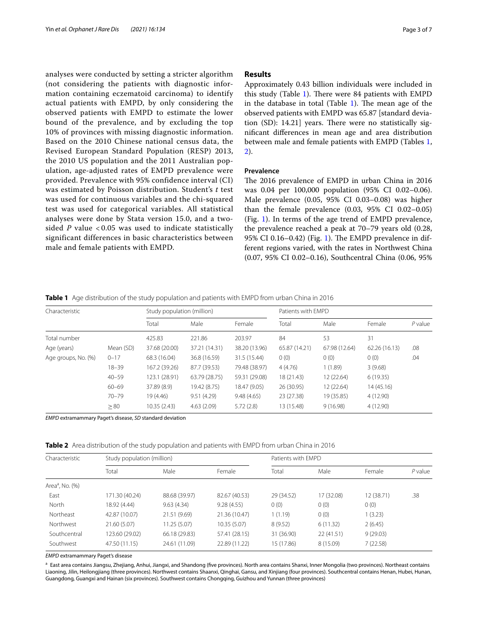analyses were conducted by setting a stricter algorithm (not considering the patients with diagnostic information containing eczematoid carcinoma) to identify actual patients with EMPD, by only considering the observed patients with EMPD to estimate the lower bound of the prevalence, and by excluding the top 10% of provinces with missing diagnostic information. Based on the 2010 Chinese national census data, the Revised European Standard Population (RESP) 2013, the 2010 US population and the 2011 Australian population, age-adjusted rates of EMPD prevalence were provided. Prevalence with 95% confidence interval (CI) was estimated by Poisson distribution. Student's *t* test was used for continuous variables and the chi-squared test was used for categorical variables. All statistical analyses were done by Stata version 15.0, and a twosided *P* value < 0.05 was used to indicate statistically significant differences in basic characteristics between male and female patients with EMPD.

#### **Results**

Approximately 0.43 billion individuals were included in this study (Table  $1$ ). There were 84 patients with EMPD in the database in total (Table  $1$ ). The mean age of the observed patients with EMPD was 65.87 [standard deviation (SD):  $14.21$ ] years. There were no statistically signifcant diferences in mean age and area distribution between male and female patients with EMPD (Tables [1](#page-2-0), [2\)](#page-2-1).

#### **Prevalence**

The 2016 prevalence of EMPD in urban China in 2016 was 0.04 per 100,000 population (95% CI 0.02–0.06). Male prevalence (0.05, 95% CI 0.03–0.08) was higher than the female prevalence (0.03, 95% CI 0.02–0.05) (Fig. [1](#page-3-0)). In terms of the age trend of EMPD prevalence, the prevalence reached a peak at 70–79 years old (0.28, 95% CI 0.[1](#page-3-0)6–0.42) (Fig. 1). The EMPD prevalence in different regions varied, with the rates in Northwest China (0.07, 95% CI 0.02–0.16), Southcentral China (0.06, 95%

<span id="page-2-0"></span>

| Characteristic      |           | Study population (million) |               |               | Patients with EMPD |               |               |           |
|---------------------|-----------|----------------------------|---------------|---------------|--------------------|---------------|---------------|-----------|
|                     |           | Total                      | Male          | Female        | Total              | Male          | Female        | $P$ value |
| Total number        |           | 425.83                     | 221.86        | 203.97        | 84                 | 53            | 31            |           |
| Age (years)         | Mean (SD) | 37.68 (20.00)              | 37.21 (14.31) | 38.20 (13.96) | 65.87 (14.21)      | 67.98 (12.64) | 62.26 (16.13) | .08       |
| Age groups, No. (%) | $0 - 17$  | 68.3 (16.04)               | 36.8 (16.59)  | 31.5 (15.44)  | 0(0)               | 0(0)          | 0(0)          | .04       |
|                     | $18 - 39$ | 167.2 (39.26)              | 87.7 (39.53)  | 79.48 (38.97) | 4(4.76)            | 1(1.89)       | 3(9.68)       |           |
|                     | $40 - 59$ | 123.1 (28.91)              | 63.79 (28.75) | 59.31 (29.08) | 18 (21.43)         | 12 (22.64)    | 6(19.35)      |           |
|                     | $60 - 69$ | 37.89 (8.9)                | 19.42 (8.75)  | 18.47 (9.05)  | 26 (30.95)         | 12 (22.64)    | 14(45.16)     |           |
|                     | $70 - 79$ | 19(4.46)                   | 9.51(4.29)    | 9.48(4.65)    | 23 (27.38)         | 19 (35.85)    | 4 (12.90)     |           |
|                     | $\geq 80$ | 10.35(2.43)                | 4.63(2.09)    | 5.72(2.8)     | 13 (15.48)         | 9(16.98)      | 4(12.90)      |           |

*EMPD* extramammary Paget's disease, *SD* standard deviation

<span id="page-2-1"></span>**Table 2** Area distribution of the study population and patients with EMPD from urban China in 2016

| Study population (million) |               |               | Patients with FMPD |            |            |           |
|----------------------------|---------------|---------------|--------------------|------------|------------|-----------|
| Total                      | Male          | Female        | Total              | Male       | Female     | $P$ value |
|                            |               |               |                    |            |            |           |
| 171.30 (40.24)             | 88.68 (39.97) | 82.67 (40.53) | 29 (34.52)         | 17 (32.08) | 12 (38.71) | .38       |
| 18.92 (4.44)               | 9.63(4.34)    | 9.28(4.55)    | 0(0)               | 0(0)       | 0(0)       |           |
| 42.87 (10.07)              | 21.51 (9.69)  | 21.36 (10.47) | 1(1.19)            | 0(0)       | 1(3.23)    |           |
| 21.60 (5.07)               | 11.25(5.07)   | 10.35(5.07)   | 8(9.52)            | 6(11.32)   | 2(6.45)    |           |
| 123.60 (29.02)             | 66.18 (29.83) | 57.41 (28.15) | 31 (36.90)         | 22(41.51)  | 9(29.03)   |           |
| 47.50 (11.15)              | 24.61 (11.09) | 22.89 (11.22) | 15 (17.86)         | 8 (15.09)  | 7(22.58)   |           |
|                            |               |               |                    |            |            |           |

*EMPD* extramammary Paget's disease

a East area contains Jiangsu, Zhejiang, Anhui, Jiangxi, and Shandong (five provinces). North area contains Shanxi, Inner Mongolia (two provinces). Northeast contains Liaoning, Jilin, Heilongjiang (three provinces). Northwest contains Shaanxi, Qinghai, Gansu, and Xinjiang (four provinces). Southcentral contains Henan, Hubei, Hunan, Guangdong, Guangxi and Hainan (six provinces). Southwest contains Chongqing, Guizhou and Yunnan (three provinces)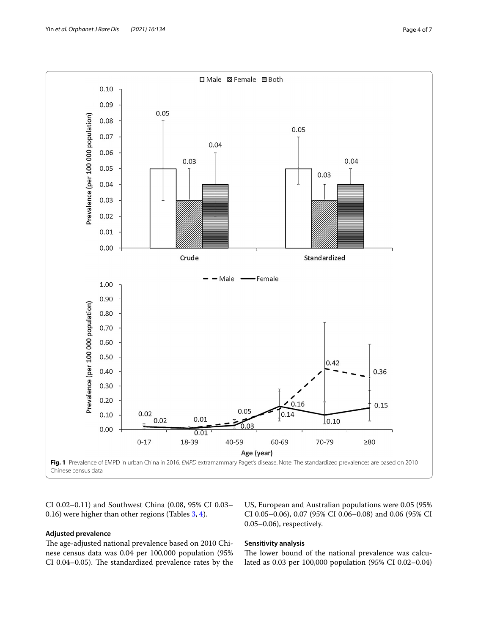

<span id="page-3-0"></span>CI 0.02–0.11) and Southwest China (0.08, 95% CI 0.03– 0.16) were higher than other regions (Tables [3,](#page-4-0) [4](#page-4-1)).

#### **Adjusted prevalence**

The age-adjusted national prevalence based on 2010 Chinese census data was 0.04 per 100,000 population (95% CI 0.04-0.05). The standardized prevalence rates by the US, European and Australian populations were 0.05 (95% CI 0.05–0.06), 0.07 (95% CI 0.06–0.08) and 0.06 (95% CI 0.05–0.06), respectively.

#### **Sensitivity analysis**

The lower bound of the national prevalence was calculated as 0.03 per 100,000 population (95% CI 0.02–0.04)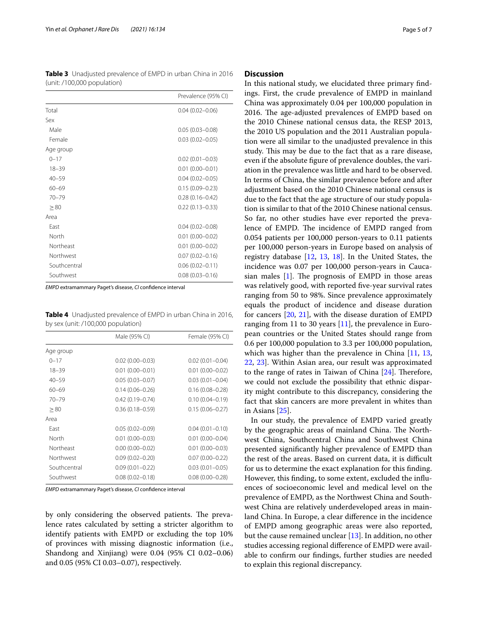<span id="page-4-0"></span>**Table 3** Unadjusted prevalence of EMPD in urban China in 2016 (unit: /100,000 population)

|              | Prevalence (95% CI) |
|--------------|---------------------|
| Total        | $0.04(0.02 - 0.06)$ |
| Sex          |                     |
| Male         | $0.05(0.03 - 0.08)$ |
| Female       | $0.03(0.02 - 0.05)$ |
| Age group    |                     |
| $0 - 17$     | $0.02(0.01 - 0.03)$ |
| $18 - 39$    | $0.01(0.00 - 0.01)$ |
| $40 - 59$    | $0.04(0.02 - 0.05)$ |
| $60 - 69$    | $0.15(0.09 - 0.23)$ |
| $70 - 79$    | $0.28(0.16 - 0.42)$ |
| > 80         | $0.22(0.13 - 0.33)$ |
| Area         |                     |
| Fast         | $0.04(0.02 - 0.08)$ |
| North        | $0.01(0.00 - 0.02)$ |
| Northeast    | $0.01(0.00 - 0.02)$ |
| Northwest    | $0.07(0.02 - 0.16)$ |
| Southcentral | $0.06(0.02 - 0.11)$ |
| Southwest    | $0.08(0.03 - 0.16)$ |

*EMPD* extramammary Paget's disease, *CI* confdence interval

<span id="page-4-1"></span>**Table 4** Unadjusted prevalence of EMPD in urban China in 2016, by sex (unit: /100,000 population)

|              | Male (95% CI)       | Female (95% CI)     |
|--------------|---------------------|---------------------|
| Age group    |                     |                     |
| $0 - 17$     | $0.02(0.00 - 0.03)$ | $0.02(0.01 - 0.04)$ |
| $18 - 39$    | $0.01(0.00 - 0.01)$ | $0.01(0.00 - 0.02)$ |
| $40 - 59$    | $0.05(0.03 - 0.07)$ | $0.03(0.01 - 0.04)$ |
| $60 - 69$    | $0.14(0.06 - 0.26)$ | $0.16(0.08 - 0.28)$ |
| $70 - 79$    | $0.42(0.19 - 0.74)$ | $0.10(0.04 - 0.19)$ |
| > 80         | $0.36(0.18 - 0.59)$ | $0.15(0.06 - 0.27)$ |
| Area         |                     |                     |
| Fast         | $0.05(0.02 - 0.09)$ | $0.04(0.01 - 0.10)$ |
| North        | $0.01(0.00 - 0.03)$ | $0.01(0.00 - 0.04)$ |
| Northeast    | $0.00(0.00 - 0.02)$ | $0.01(0.00 - 0.03)$ |
| Northwest    | $0.09(0.02 - 0.20)$ | $0.07(0.00 - 0.22)$ |
| Southcentral | $0.09(0.01 - 0.22)$ | $0.03(0.01 - 0.05)$ |
| Southwest    | $0.08(0.02 - 0.18)$ | $0.08(0.00 - 0.28)$ |
|              |                     |                     |

*EMPD* extramammary Paget's disease, *CI* confdence interval

by only considering the observed patients. The prevalence rates calculated by setting a stricter algorithm to identify patients with EMPD or excluding the top 10% of provinces with missing diagnostic information (i.e., Shandong and Xinjiang) were 0.04 (95% CI 0.02–0.06) and 0.05 (95% CI 0.03–0.07), respectively.

#### **Discussion**

In this national study, we elucidated three primary fndings. First, the crude prevalence of EMPD in mainland China was approximately 0.04 per 100,000 population in 2016. The age-adjusted prevalences of EMPD based on the 2010 Chinese national census data, the RESP 2013, the 2010 US population and the 2011 Australian population were all similar to the unadjusted prevalence in this study. This may be due to the fact that as a rare disease, even if the absolute fgure of prevalence doubles, the variation in the prevalence was little and hard to be observed. In terms of China, the similar prevalence before and after adjustment based on the 2010 Chinese national census is due to the fact that the age structure of our study population is similar to that of the 2010 Chinese national census. So far, no other studies have ever reported the prevalence of EMPD. The incidence of EMPD ranged from 0.054 patients per 100,000 person-years to 0.11 patients per 100,000 person-years in Europe based on analysis of registry database [\[12](#page-6-11), [13](#page-6-8), [18](#page-6-12)]. In the United States, the incidence was 0.07 per 100,000 person-years in Caucasian males  $[1]$  $[1]$ . The prognosis of EMPD in those areas was relatively good, with reported fve-year survival rates ranging from 50 to 98%. Since prevalence approximately equals the product of incidence and disease duration for cancers [[20,](#page-6-14) [21](#page-6-15)], with the disease duration of EMPD ranging from 11 to 30 years [\[11](#page-6-16)], the prevalence in European countries or the United States should range from 0.6 per 100,000 population to 3.3 per 100,000 population, which was higher than the prevalence in China [[11,](#page-6-16) [13](#page-6-8), [22,](#page-6-17) [23\]](#page-6-18). Within Asian area, our result was approximated to the range of rates in Taiwan of China  $[24]$  $[24]$ . Therefore, we could not exclude the possibility that ethnic disparity might contribute to this discrepancy, considering the fact that skin cancers are more prevalent in whites than in Asians [[25\]](#page-6-20).

In our study, the prevalence of EMPD varied greatly by the geographic areas of mainland China. The Northwest China, Southcentral China and Southwest China presented signifcantly higher prevalence of EMPD than the rest of the areas. Based on current data, it is difficult for us to determine the exact explanation for this fnding. However, this fnding, to some extent, excluded the infuences of socioeconomic level and medical level on the prevalence of EMPD, as the Northwest China and Southwest China are relatively underdeveloped areas in mainland China. In Europe, a clear diference in the incidence of EMPD among geographic areas were also reported, but the cause remained unclear [\[13](#page-6-8)]. In addition, no other studies accessing regional diference of EMPD were available to confrm our fndings, further studies are needed to explain this regional discrepancy.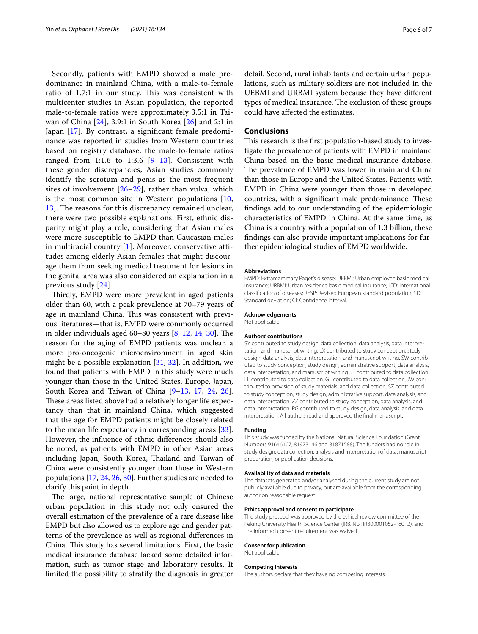Secondly, patients with EMPD showed a male predominance in mainland China, with a male-to-female ratio of 1.7:1 in our study. This was consistent with multicenter studies in Asian population, the reported male-to-female ratios were approximately 3.5:1 in Taiwan of China [[24](#page-6-19)], 3.9:1 in South Korea [[26](#page-6-21)] and 2:1 in Japan [\[17](#page-6-10)]. By contrast, a signifcant female predominance was reported in studies from Western countries based on registry database, the male-to-female ratios ranged from 1:1.6 to 1:3.6  $[9-13]$  $[9-13]$  $[9-13]$ . Consistent with these gender discrepancies, Asian studies commonly identify the scrotum and penis as the most frequent sites of involvement [[26–](#page-6-21)[29\]](#page-6-22), rather than vulva, which is the most common site in Western populations  $[10,$  $[10,$ [13\]](#page-6-8). The reasons for this discrepancy remained unclear, there were two possible explanations. First, ethnic disparity might play a role, considering that Asian males were more susceptible to EMPD than Caucasian males in multiracial country  $[1]$  $[1]$ . Moreover, conservative attitudes among elderly Asian females that might discourage them from seeking medical treatment for lesions in the genital area was also considered an explanation in a previous study [[24](#page-6-19)].

Thirdly, EMPD were more prevalent in aged patients older than 60, with a peak prevalence at 70–79 years of age in mainland China. This was consistent with previous literatures—that is, EMPD were commonly occurred in older individuals aged  $60-80$  years  $[8, 12, 14, 30]$  $[8, 12, 14, 30]$  $[8, 12, 14, 30]$  $[8, 12, 14, 30]$  $[8, 12, 14, 30]$  $[8, 12, 14, 30]$  $[8, 12, 14, 30]$ . The reason for the aging of EMPD patients was unclear, a more pro-oncogenic microenvironment in aged skin might be a possible explanation [\[31](#page-6-25), [32](#page-6-26)]. In addition, we found that patients with EMPD in this study were much younger than those in the United States, Europe, Japan, South Korea and Taiwan of China [\[9](#page-6-7)[–13,](#page-6-8) [17,](#page-6-10) [24](#page-6-19), [26](#page-6-21)]. These areas listed above had a relatively longer life expectancy than that in mainland China, which suggested that the age for EMPD patients might be closely related to the mean life expectancy in corresponding areas [\[33](#page-6-27)]. However, the infuence of ethnic diferences should also be noted, as patients with EMPD in other Asian areas including Japan, South Korea, Thailand and Taiwan of China were consistently younger than those in Western populations [[17](#page-6-10), [24,](#page-6-19) [26](#page-6-21), [30\]](#page-6-24). Further studies are needed to clarify this point in depth.

The large, national representative sample of Chinese urban population in this study not only ensured the overall estimation of the prevalence of a rare disease like EMPD but also allowed us to explore age and gender patterns of the prevalence as well as regional diferences in China. This study has several limitations. First, the basic medical insurance database lacked some detailed information, such as tumor stage and laboratory results. It limited the possibility to stratify the diagnosis in greater

detail. Second, rural inhabitants and certain urban populations, such as military soldiers are not included in the UEBMI and URBMI system because they have diferent types of medical insurance. The exclusion of these groups could have afected the estimates.

#### **Conclusions**

This research is the first population-based study to investigate the prevalence of patients with EMPD in mainland China based on the basic medical insurance database. The prevalence of EMPD was lower in mainland China than those in Europe and the United States. Patients with EMPD in China were younger than those in developed countries, with a significant male predominance. These fndings add to our understanding of the epidemiologic characteristics of EMPD in China. At the same time, as China is a country with a population of 1.3 billion, these fndings can also provide important implications for further epidemiological studies of EMPD worldwide.

#### **Abbreviations**

EMPD: Extramammary Paget's disease; UEBMI: Urban employee basic medical insurance; URBMI: Urban residence basic medical insurance; ICD: International classifcation of diseases; RESP: Revised European standard population; SD: Standard deviation; CI: Confdence interval.

#### **Acknowledgements**

Not applicable.

#### **Authors' contributions**

SY contributed to study design, data collection, data analysis, data interpretation, and manuscript writing. LX contributed to study conception, study design, data analysis, data interpretation, and manuscript writing. SW contributed to study conception, study design, administrative support, data analysis, data interpretation, and manuscript writing. JF contributed to data collection. LL contributed to data collection. GL contributed to data collection. JW contributed to provision of study materials, and data collection. SZ contributed to study conception, study design, administrative support, data analysis, and data interpretation. ZZ contributed to study conception, data analysis, and data interpretation. PG contributed to study design, data analysis, and data interpretation. All authors read and approved the fnal manuscript.

#### **Funding**

This study was funded by the National Natural Science Foundation (Grant Numbers 91646107, 81973146 and 81871588). The funders had no role in study design, data collection, analysis and interpretation of data, manuscript preparation, or publication decisions.

#### **Availability of data and materials**

The datasets generated and/or analysed during the current study are not publicly available due to privacy, but are available from the corresponding author on reasonable request.

#### **Ethics approval and consent to participate**

The study protocol was approved by the ethical review committee of the Peking University Health Science Center (IRB. No.: IRB00001052-18012), and the informed consent requirement was waived.

#### **Consent for publication.**

Not applicable.

#### **Competing interests**

The authors declare that they have no competing interests.